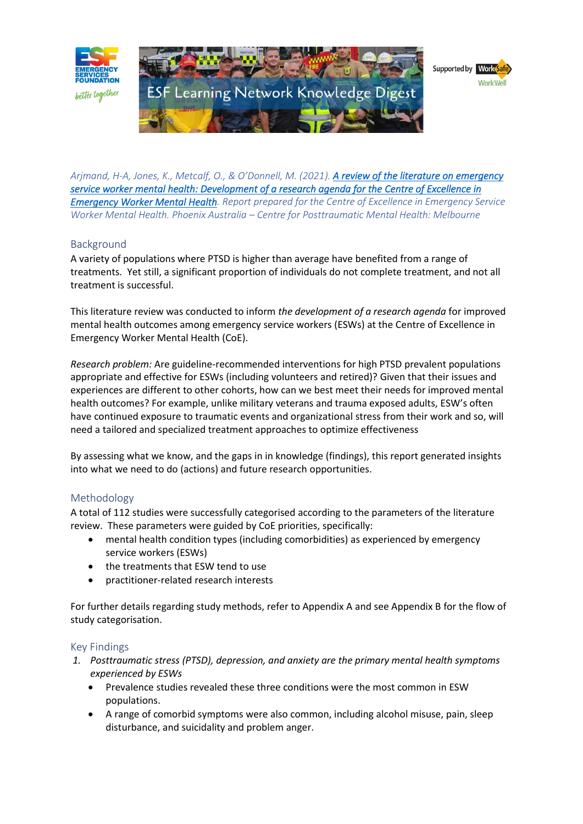

*Arjmand, H-A, Jones, K., Metcalf, O., & O'Donnell, M. (2021). [A review of the literature on emergency](https://esf.com.au/wp-admin/post.php?post=2966&action=elementor)  [service worker mental health: Development of a research agenda for the Centre of Excellence in](https://esf.com.au/wp-admin/post.php?post=2966&action=elementor)  [Emergency Worker Mental Health.](https://esf.com.au/wp-admin/post.php?post=2966&action=elementor) Report prepared for the Centre of Excellence in Emergency Service Worker Mental Health. Phoenix Australia – Centre for Posttraumatic Mental Health: Melbourne*

# Background

A variety of populations where PTSD is higher than average have benefited from a range of treatments. Yet still, a significant proportion of individuals do not complete treatment, and not all treatment is successful.

This literature review was conducted to inform *the development of a research agenda* for improved mental health outcomes among emergency service workers (ESWs) at the Centre of Excellence in Emergency Worker Mental Health (CoE).

*Research problem:* Are guideline-recommended interventions for high PTSD prevalent populations appropriate and effective for ESWs (including volunteers and retired)? Given that their issues and experiences are different to other cohorts, how can we best meet their needs for improved mental health outcomes? For example, unlike military veterans and trauma exposed adults, ESW's often have continued exposure to traumatic events and organizational stress from their work and so, will need a tailored and specialized treatment approaches to optimize effectiveness

By assessing what we know, and the gaps in in knowledge (findings), this report generated insights into what we need to do (actions) and future research opportunities.

# Methodology

A total of 112 studies were successfully categorised according to the parameters of the literature review. These parameters were guided by CoE priorities, specifically:

- mental health condition types (including comorbidities) as experienced by emergency service workers (ESWs)
- the treatments that ESW tend to use
- practitioner-related research interests

For further details regarding study methods, refer to Appendix A and see Appendix B for the flow of study categorisation.

### Key Findings

- *1. Posttraumatic stress (PTSD), depression, and anxiety are the primary mental health symptoms experienced by ESWs*
	- Prevalence studies revealed these three conditions were the most common in ESW populations.
	- A range of comorbid symptoms were also common, including alcohol misuse, pain, sleep disturbance, and suicidality and problem anger.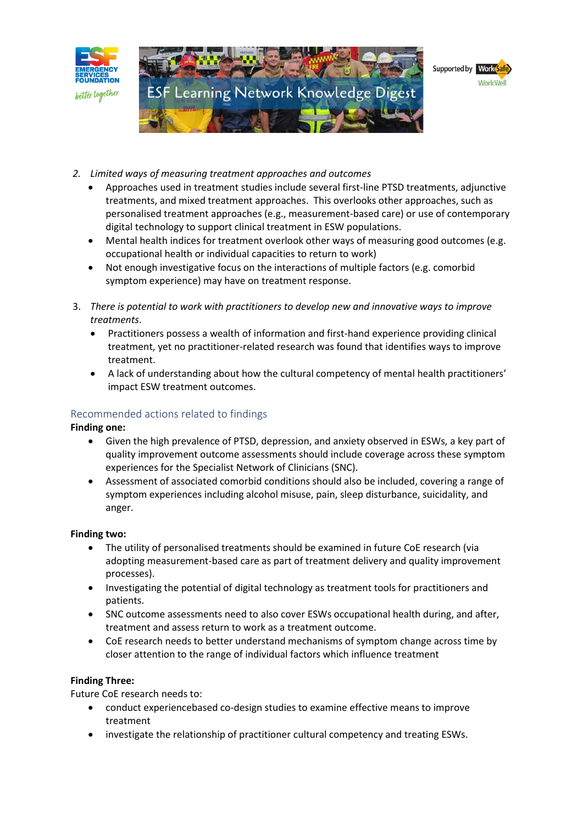

- *2. Limited ways of measuring treatment approaches and outcomes*
	- Approaches used in treatment studies include several first-line PTSD treatments, adjunctive treatments, and mixed treatment approaches. This overlooks other approaches, such as personalised treatment approaches (e.g., measurement-based care) or use of contemporary digital technology to support clinical treatment in ESW populations.
	- Mental health indices for treatment overlook other ways of measuring good outcomes (e.g. occupational health or individual capacities to return to work)
	- Not enough investigative focus on the interactions of multiple factors (e.g. comorbid symptom experience) may have on treatment response.
- 3. *There is potential to work with practitioners to develop new and innovative ways to improve treatments*.
	- Practitioners possess a wealth of information and first-hand experience providing clinical treatment, yet no practitioner-related research was found that identifies ways to improve treatment.
	- A lack of understanding about how the cultural competency of mental health practitioners' impact ESW treatment outcomes.

# Recommended actions related to findings

**Finding one:**

- Given the high prevalence of PTSD, depression, and anxiety observed in ESWs, a key part of quality improvement outcome assessments should include coverage across these symptom experiences for the Specialist Network of Clinicians (SNC).
- Assessment of associated comorbid conditions should also be included, covering a range of symptom experiences including alcohol misuse, pain, sleep disturbance, suicidality, and anger.

### **Finding two:**

- The utility of personalised treatments should be examined in future CoE research (via adopting measurement-based care as part of treatment delivery and quality improvement processes).
- Investigating the potential of digital technology as treatment tools for practitioners and patients.
- SNC outcome assessments need to also cover ESWs occupational health during, and after, treatment and assess return to work as a treatment outcome.
- CoE research needs to better understand mechanisms of symptom change across time by closer attention to the range of individual factors which influence treatment

# **Finding Three:**

Future CoE research needs to:

- conduct experiencebased co-design studies to examine effective means to improve treatment
- investigate the relationship of practitioner cultural competency and treating ESWs.